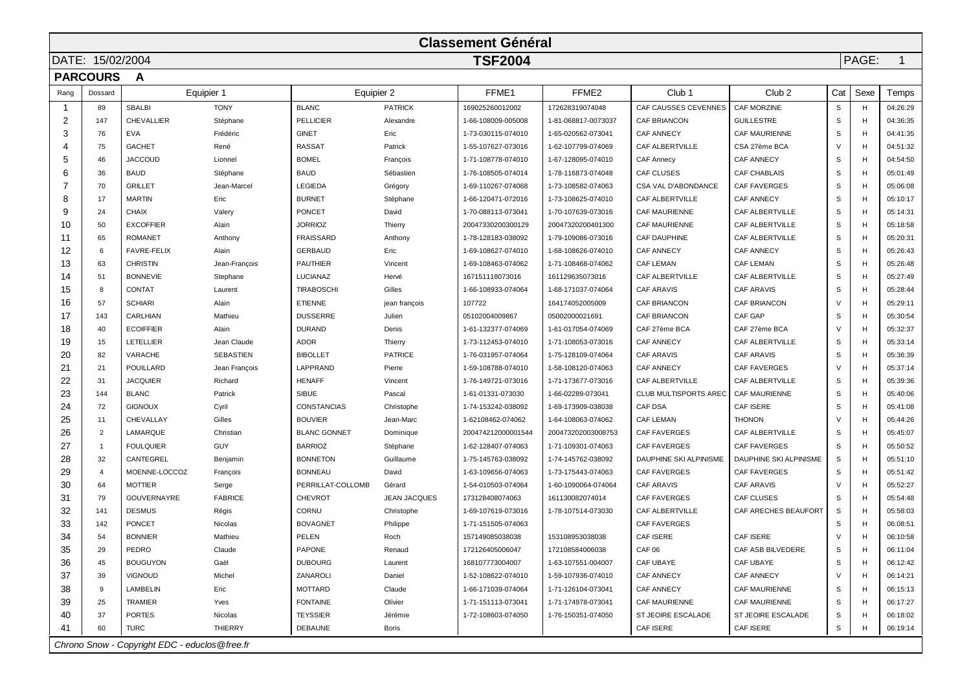| <b>Classement Général</b>          |                |                                                |                  |                     |                     |                    |                     |                            |                        |        |      |          |
|------------------------------------|----------------|------------------------------------------------|------------------|---------------------|---------------------|--------------------|---------------------|----------------------------|------------------------|--------|------|----------|
| <b>TSF2004</b><br>DATE: 15/02/2004 |                |                                                |                  |                     |                     |                    |                     | PAGE:<br>$\mathbf{1}$      |                        |        |      |          |
| <b>PARCOURS</b><br>A               |                |                                                |                  |                     |                     |                    |                     |                            |                        |        |      |          |
| Rang                               | Dossard        |                                                | Equipier 1       | Equipier 2          |                     | FFME1              | FFME <sub>2</sub>   | Club <sub>1</sub>          | Club <sub>2</sub>      | Cat    | Sexe | Temps    |
| -1                                 | 89             | <b>SBALBI</b>                                  | <b>TONY</b>      | <b>BLANC</b>        | <b>PATRICK</b>      | 169025260012002    | 172628319074048     | CAF CAUSSES CEVENNES       | <b>CAF MORZINE</b>     | S      | H    | 04:26:29 |
| $\overline{2}$                     | 147            | CHEVALLIER                                     | Stéphane         | <b>PELLICIER</b>    | Alexandre           | 1-66-108009-005008 | 1-81-068817-0073037 | CAF BRIANCON               | <b>GUILLESTRE</b>      | S      | H    | 04:36:35 |
| 3                                  | 76             | <b>EVA</b>                                     | Frédéric         | <b>GINET</b>        | Eric                | 1-73-030115-074010 | 1-65-020562-073041  | <b>CAF ANNECY</b>          | <b>CAF MAURIENNE</b>   | S      | H    | 04:41:35 |
| 4                                  | 75             | <b>GACHET</b>                                  | René             | <b>RASSAT</b>       | Patrick             | 1-55-107627-073016 | 1-62-107799-074069  | <b>CAF ALBERTVILLE</b>     | CSA 27ème BCA          | $\vee$ | H    | 04:51:32 |
| 5                                  | 46             | <b>JACCOUD</b>                                 | Lionnel          | <b>BOMEL</b>        | François            | 1-71-108778-074010 | 1-67-128095-074010  | <b>CAF Annecy</b>          | <b>CAF ANNECY</b>      | S      | н    | 04:54:50 |
| 6                                  | 36             | <b>BAUD</b>                                    | Stéphane         | <b>BAUD</b>         | Sébastien           | 1-76-108505-074014 | 1-78-116873-074048  | <b>CAF CLUSES</b>          | <b>CAF CHABLAIS</b>    | S      | H    | 05:01:49 |
| 7                                  | 70             | <b>GRILLET</b>                                 | Jean-Marcel      | <b>LEGIEDA</b>      | Grégory             | 1-69-110267-074068 | 1-73-108582-074063  | <b>CSA VAL D'ABONDANCE</b> | <b>CAF FAVERGES</b>    | S      | н    | 05:06:08 |
| 8                                  | 17             | <b>MARTIN</b>                                  | Eric             | <b>BURNET</b>       | Stéphane            | 1-66-120471-072016 | 1-73-108625-074010  | CAF ALBERTVILLE            | <b>CAF ANNECY</b>      | S      | н    | 05:10:17 |
| 9                                  | 24             | <b>CHAIX</b>                                   | Valery           | PONCET              | David               | 1-70-088113-073041 | 1-70-107639-073016  | CAF MAURIENNE              | CAF ALBERTVILLE        | S      | н    | 05:14:31 |
| 10                                 | 50             | <b>EXCOFFIER</b>                               | Alain            | <b>JORRIOZ</b>      | Thierry             | 20047330200300129  | 20047320200401300   | CAF MAURIENNE              | CAF ALBERTVILLE        | S      | H    | 05:18:58 |
| 11                                 | 65             | <b>ROMANET</b>                                 | Anthony          | <b>FRAISSARD</b>    | Anthony             | 1-78-128183-038092 | 1-79-109086-073016  | <b>CAF DAUPHINE</b>        | CAF ALBERTVILLE        | S      | н    | 05:20:31 |
| 12                                 | 6              | <b>FAVRE-FELIX</b>                             | Alain            | <b>GERBAUD</b>      | Eric                | 1-69-108627-074010 | 1-68-108626-074010  | <b>CAF ANNECY</b>          | <b>CAF ANNECY</b>      | S      | H    | 05:26:43 |
| 13                                 | 63             | <b>CHRISTIN</b>                                | Jean-François    | PAUTHIER            | Vincent             | 1-69-108463-074062 | 1-71-108468-074062  | <b>CAF LEMAN</b>           | <b>CAF LEMAN</b>       | S      | н    | 05:26:48 |
| 14                                 | 51             | <b>BONNEVIE</b>                                | Stephane         | LUCIANAZ            | Hervé               | 167151118073016    | 161129635073016     | CAF ALBERTVILLE            | CAF ALBERTVILLE        | S      | H    | 05:27:49 |
| 15                                 | 8              | CONTAT                                         | Laurent          | <b>TIRABOSCHI</b>   | Gilles              | 1-66-108933-074064 | 1-68-171037-074064  | <b>CAF ARAVIS</b>          | <b>CAF ARAVIS</b>      | S      | H    | 05:28:44 |
| 16                                 | 57             | <b>SCHIARI</b>                                 | Alain            | <b>ETIENNE</b>      | jean françois       | 107722             | 164174052005009     | CAF BRIANCON               | <b>CAF BRIANCON</b>    | V      | н    | 05:29:11 |
| 17                                 | 143            | CARLHIAN                                       | Mathieu          | <b>DUSSERRE</b>     | Julien              | 05102004009867     | 05002000021691      | CAF BRIANCON               | <b>CAF GAP</b>         | S      | H    | 05:30:54 |
| 18                                 | 40             | <b>ECOIFFIER</b>                               | Alain            | <b>DURAND</b>       | Denis               | 1-61-132377-074069 | 1-61-017054-074069  | CAF 27ème BCA              | CAF 27ème BCA          | V      | н    | 05:32:37 |
| 19                                 | 15             | <b>LETELLIER</b>                               | Jean Claude      | <b>ADOR</b>         | Thierry             | 1-73-112453-074010 | 1-71-108053-073016  | <b>CAF ANNECY</b>          | CAF ALBERTVILLE        | S      | н    | 05:33:14 |
| 20                                 | 82             | VARACHE                                        | <b>SEBASTIEN</b> | <b>BIBOLLET</b>     | <b>PATRICE</b>      | 1-76-031957-074064 | 1-75-128109-074064  | <b>CAF ARAVIS</b>          | <b>CAF ARAVIS</b>      | S      | н    | 05:36:39 |
| 21                                 | 21             | <b>POUILLARD</b>                               | Jean François    | LAPPRAND            | Pierre              | 1-59-108788-074010 | 1-58-108120-074063  | <b>CAF ANNECY</b>          | <b>CAF FAVERGES</b>    | $\vee$ | H    | 05:37:14 |
| 22                                 | 31             | <b>JACQUIER</b>                                | Richard          | <b>HENAFF</b>       | Vincent             | 1-76-149721-073016 | 1-71-173677-073016  | CAF ALBERTVILLE            | CAF ALBERTVILLE        | S      | H    | 05:39:36 |
| 23                                 | 144            | <b>BLANC</b>                                   | Patrick          | <b>SIBUE</b>        | Pascal              | 1-61-01331-073030  | 1-66-02289-073041   | CLUB MULTISPORTS AREC      | <b>CAF MAURIENNE</b>   | S      | H    | 05:40:06 |
| 24                                 | 72             | <b>GIGNOUX</b>                                 | Cyril            | <b>CONSTANCIAS</b>  | Christophe          | 1-74-153242-038092 | 1-69-173909-038038  | <b>CAF DSA</b>             | <b>CAF ISERE</b>       | S      | н    | 05:41:08 |
| 25                                 | 11             | CHEVALLAY                                      | Gilles           | <b>BOUVIER</b>      | Jean-Marc           | 1-62108462-074062  | 1-64-108063-074062  | <b>CAF LEMAN</b>           | <b>THONON</b>          | $\vee$ | H    | 05:44:26 |
| 26                                 | $\overline{2}$ | LAMARQUE                                       | Christian        | <b>BLANC GONNET</b> | Dominique           | 200474212000001544 | 200473202003008753  | <b>CAF FAVERGES</b>        | CAF ALBERTVILLE        | S      | н    | 05:45:07 |
| 27                                 | -1             | <b>FOULQUIER</b>                               | <b>GUY</b>       | <b>BARRIOZ</b>      | Stéphane            | 1-62-128407-074063 | 1-71-109301-074063  | <b>CAF FAVERGES</b>        | <b>CAF FAVERGES</b>    | S      | H    | 05:50:52 |
| 28                                 | 32             | CANTEGREL                                      | Benjamin         | <b>BONNETON</b>     | Guillaume           | 1-75-145763-038092 | 1-74-145762-038092  | DAUPHINE SKI ALPINISME     | DAUPHINE SKI ALPINISME | S      | H    | 05:51:10 |
| 29                                 | 4              | MOENNE-LOCCOZ                                  | François         | <b>BONNEAU</b>      | David               | 1-63-109656-074063 | 1-73-175443-074063  | <b>CAF FAVERGES</b>        | <b>CAF FAVERGES</b>    | S      | H    | 05:51:42 |
| 30                                 | 64             | <b>MOTTIER</b>                                 | Serge            | PERRILLAT-COLLOMB   | Gérard              | 1-54-010503-074064 | 1-60-1090064-074064 | <b>CAF ARAVIS</b>          | <b>CAF ARAVIS</b>      | $\vee$ | н    | 05:52:27 |
| 31                                 | 79             | <b>GOUVERNAYRE</b>                             | <b>FABRICE</b>   | <b>CHEVROT</b>      | <b>JEAN JACQUES</b> | 173128408074063    | 161130082074014     | <b>CAF FAVERGES</b>        | <b>CAF CLUSES</b>      | S      | H    | 05:54:48 |
| 32                                 | 141            | <b>DESMUS</b>                                  | Régis            | CORNU               | Christophe          | 1-69-107619-073016 | 1-78-107514-073030  | CAF ALBERTVILLE            | CAF ARECHES BEAUFORT   | S      | н    | 05:58:03 |
| 33                                 | 142            | <b>PONCET</b>                                  | Nicolas          | <b>BOVAGNET</b>     | Philippe            | 1-71-151505-074063 |                     | <b>CAF FAVERGES</b>        |                        | S      | H    | 06:08:51 |
| 34                                 | 54             | <b>BONNIER</b>                                 | Mathieu          | PELEN               | Roch                | 157149085038038    | 153108953038038     | <b>CAF ISERE</b>           | CAF ISERE              | $\vee$ | н    | 06:10:58 |
| 35                                 | 29             | PEDRO                                          | Claude           | PAPONE              | Renaud              | 172126405006047    | 172108584006038     | CAF06                      | CAF ASB BILVEDERE      |        | H    | 06:11:04 |
| 36                                 | 45             | <b>BOUGUYON</b>                                | Gaël             | <b>DUBOURG</b>      | Laurent             | 168107773004007    | 1-63-107551-004007  | CAF UBAYE                  | CAF UBAYE              | S      | н    | 06:12:42 |
| 37                                 | 39             | <b>VIGNOUD</b>                                 | Michel           | ZANAROLI            | Daniel              | 1-52-108622-074010 | 1-59-107936-074010  | CAF ANNECY                 | <b>CAF ANNECY</b>      | V      | н    | 06:14:21 |
| 38                                 | 9              | LAMBELIN                                       | Eric             | MOTTARD             | Claude              | 1-66-171039-074064 | 1-71-126104-073041  | CAF ANNECY                 | <b>CAF MAURIENNE</b>   | S      | н    | 06:15:13 |
| 39                                 | 25             | <b>TRAMIER</b>                                 | Yves             | <b>FONTAINE</b>     | Olivier             | 1-71-151113-073041 | 1-71-174978-073041  | CAF MAURIENNE              | <b>CAF MAURIENNE</b>   | S      | н    | 06:17:27 |
| 40                                 | 37             | <b>PORTES</b>                                  | Nicolas          | <b>TEYSSIER</b>     | Jérémie             | 1-72-108603-074050 | 1-76-150351-074050  | ST JEOIRE ESCALADE         | ST JEOIRE ESCALADE     | S      | н    | 06:18:02 |
| 41                                 | 60             | TURC                                           | <b>THIERRY</b>   | DEBAUNE             | <b>Boris</b>        |                    |                     | CAF ISERE                  | CAF ISERE              | S      | H    | 06:19:14 |
|                                    |                | Chrono Snow - Copyright EDC - educlos @free.fr |                  |                     |                     |                    |                     |                            |                        |        |      |          |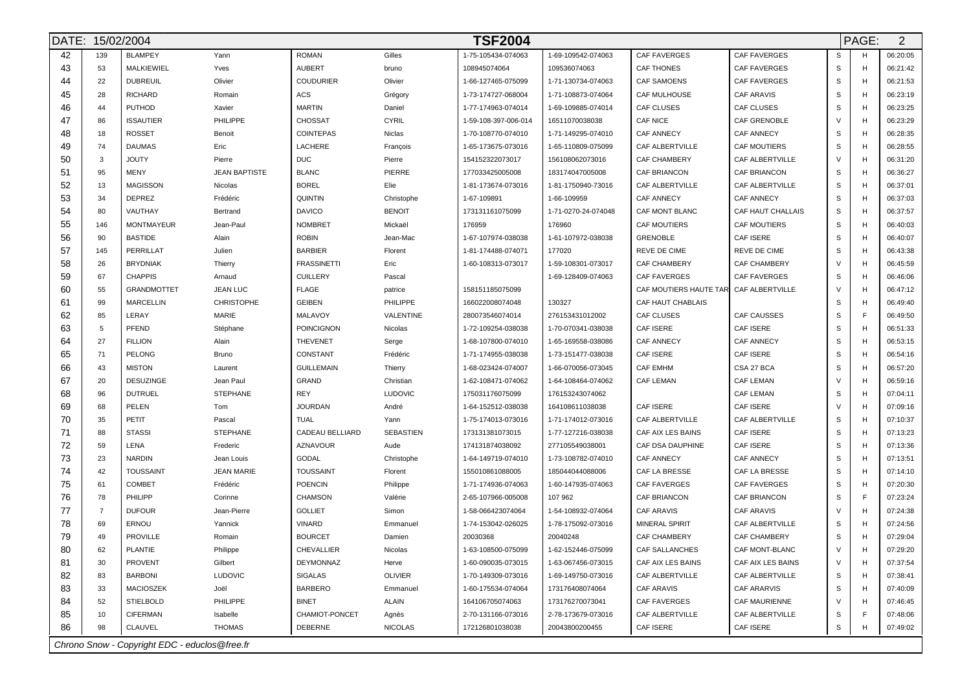|    |                | <b>TSF2004</b><br>DATE: 15/02/2004            |                      |                    |                |                      |                     |                        |                     | PAGE:  | $\overline{2}$ |          |
|----|----------------|-----------------------------------------------|----------------------|--------------------|----------------|----------------------|---------------------|------------------------|---------------------|--------|----------------|----------|
| 42 | 139            | <b>BLAMPEY</b>                                | Yann                 | <b>ROMAN</b>       | Gilles         | 1-75-105434-074063   | 1-69-109542-074063  | <b>CAF FAVERGES</b>    | CAF FAVERGES        | S      | H              | 06:20:05 |
| 43 | 53             | MALKIEWIEL                                    | Yves                 | <b>AUBERT</b>      | bruno          | 108945074064         | 109536074063        | <b>CAF THONES</b>      | <b>CAF FAVERGES</b> | S      | H              | 06:21:42 |
| 44 | 22             | <b>DUBREUIL</b>                               | Olivier              | <b>COUDURIER</b>   | Olivier        | 1-66-127465-075099   | 1-71-130734-074063  | <b>CAF SAMOENS</b>     | CAF FAVERGES        | S      | H              | 06:21:53 |
| 45 | 28             | <b>RICHARD</b>                                | Romain               | ACS                | Grégory        | 1-73-174727-068004   | 1-71-108873-074064  | <b>CAF MULHOUSE</b>    | <b>CAF ARAVIS</b>   | S      | H              | 06:23:19 |
| 46 | 44             | PUTHOD                                        | Xavier               | MARTIN             | Daniel         | 1-77-174963-074014   | 1-69-109885-074014  | CAF CLUSES             | CAF CLUSES          | S      | H              | 06:23:25 |
| 47 | 86             | <b>ISSAUTIER</b>                              | PHILIPPE             | <b>CHOSSAT</b>     | <b>CYRIL</b>   | 1-59-108-397-006-014 | 16511070038038      | <b>CAF NICE</b>        | CAF GRENOBLE        | $\vee$ | H              | 06:23:29 |
| 48 | 18             | <b>ROSSET</b>                                 | Benoit               | <b>COINTEPAS</b>   | Niclas         | 1-70-108770-074010   | 1-71-149295-074010  | CAF ANNECY             | CAF ANNECY          | S      | H              | 06:28:35 |
| 49 | 74             | <b>DAUMAS</b>                                 | Eric                 | LACHERE            | François       | 1-65-173675-073016   | 1-65-110809-075099  | CAF ALBERTVILLE        | <b>CAF MOUTIERS</b> | S      | H              | 06:28:55 |
| 50 | 3              | <b>JOUTY</b>                                  | Pierre               | <b>DUC</b>         | Pierre         | 154152322073017      | 156108062073016     | <b>CAF CHAMBERY</b>    | CAF ALBERTVILLE     | $\vee$ | H              | 06:31:20 |
| 51 | 95             | <b>MENY</b>                                   | <b>JEAN BAPTISTE</b> | <b>BLANC</b>       | PIERRE         | 177033425005008      | 183174047005008     | <b>CAF BRIANCON</b>    | CAF BRIANCON        | S      | H              | 06:36:27 |
| 52 | 13             | <b>MAGISSON</b>                               | Nicolas              | <b>BOREL</b>       | Elie           | 1-81-173674-073016   | 1-81-1750940-73016  | CAF ALBERTVILLE        | CAF ALBERTVILLE     | S      | H              | 06:37:01 |
| 53 | 34             | <b>DEPREZ</b>                                 | Frédéric             | <b>QUINTIN</b>     | Christophe     | 1-67-109891          | 1-66-109959         | <b>CAF ANNECY</b>      | <b>CAF ANNECY</b>   | S      | H              | 06:37:03 |
| 54 | 80             | VAUTHAY                                       | Bertrand             | <b>DAVICO</b>      | <b>BENOIT</b>  | 173131161075099      | 1-71-0270-24-074048 | CAF MONT BLANC         | CAF HAUT CHALLAIS   | S      | H              | 06:37:57 |
| 55 | 146            | <b>MONTMAYEUR</b>                             | Jean-Paul            | <b>NOMBRET</b>     | Mickaël        | 176959               | 176960              | <b>CAF MOUTIERS</b>    | CAF MOUTIERS        | S      | H              | 06:40:03 |
| 56 | 90             | <b>BASTIDE</b>                                | Alain                | <b>ROBIN</b>       | Jean-Mac       | 1-67-107974-038038   | 1-61-107972-038038  | <b>GRENOBLE</b>        | <b>CAF ISERE</b>    | S      | H              | 06:40:07 |
| 57 | 145            | PERRILLAT                                     | Julien               | <b>BARBIER</b>     | Florent        | 1-81-174488-074071   | 177020              | REVE DE CIME           | REVE DE CIME        | S      | H              | 06:43:38 |
| 58 | 26             | <b>BRYDNIAK</b>                               | Thierry              | <b>FRASSINETTI</b> | Eric           | 1-60-108313-073017   | 1-59-108301-073017  | CAF CHAMBERY           | <b>CAF CHAMBERY</b> | $\vee$ | H              | 06:45:59 |
| 59 | 67             | <b>CHAPPIS</b>                                | Arnaud               | <b>CUILLERY</b>    | Pascal         |                      | 1-69-128409-074063  | <b>CAF FAVERGES</b>    | CAF FAVERGES        | S      | H              | 06:46:06 |
| 60 | 55             | <b>GRANDMOTTET</b>                            | <b>JEAN LUC</b>      | <b>FLAGE</b>       | patrice        | 158151185075099      |                     | CAF MOUTIERS HAUTE TAR | CAF ALBERTVILLE     | $\vee$ | H              | 06:47:12 |
| 61 | 99             | <b>MARCELLIN</b>                              | <b>CHRISTOPHE</b>    | <b>GEIBEN</b>      | PHILIPPE       | 166022008074048      | 130327              | CAF HAUT CHABLAIS      |                     | S      | H              | 06:49:40 |
| 62 | 85             | LERAY                                         | MARIE                | MALAVOY            | VALENTINE      | 280073546074014      | 276153431012002     | <b>CAF CLUSES</b>      | <b>CAF CAUSSES</b>  | S      | E              | 06:49:50 |
| 63 | 5              | PFEND                                         | Stéphane             | POINCIGNON         | Nicolas        | 1-72-109254-038038   | 1-70-070341-038038  | CAF ISERE              | CAF ISERE           | S      | H              | 06:51:33 |
| 64 | 27             | <b>FILLION</b>                                | Alain                | <b>THEVENET</b>    | Serge          | 1-68-107800-074010   | 1-65-169558-038086  | <b>CAF ANNECY</b>      | CAF ANNECY          | S      | H              | 06:53:15 |
| 65 | 71             | <b>PELONG</b>                                 | <b>Bruno</b>         | CONSTANT           | Frédéric       | 1-71-174955-038038   | 1-73-151477-038038  | <b>CAF ISERE</b>       | CAF ISERE           | S      | H              | 06:54:16 |
| 66 | 43             | <b>MISTON</b>                                 | Laurent              | <b>GUILLEMAIN</b>  | Thierry        | 1-68-023424-074007   | 1-66-070056-073045  | <b>CAF EMHM</b>        | CSA 27 BCA          | S      | H              | 06:57:20 |
| 67 | 20             | <b>DESUZINGE</b>                              | Jean Paul            | <b>GRAND</b>       | Christian      | 1-62-108471-074062   | 1-64-108464-074062  | <b>CAF LEMAN</b>       | CAF LEMAN           | $\vee$ | H              | 06:59:16 |
| 68 | 96             | <b>DUTRUEL</b>                                | <b>STEPHANE</b>      | <b>REY</b>         | LUDOVIC        | 175031176075099      | 176153243074062     |                        | <b>CAF LEMAN</b>    | S      | H              | 07:04:11 |
| 69 | 68             | PELEN                                         | Tom                  | <b>JOURDAN</b>     | André          | 1-64-152512-038038   | 164108611038038     | <b>CAF ISERE</b>       | CAF ISERE           | V      | H              | 07:09:16 |
| 70 | 35             | PETIT                                         | Pascal               | TUAL               | Yann           | 1-75-174013-073016   | 1-71-174012-073016  | CAF ALBERTVILLE        | CAF ALBERTVILLE     | S      | H              | 07:10:37 |
| 71 | 88             | <b>STASSI</b>                                 | <b>STEPHANE</b>      | CADEAU BELLIARD    | SEBASTIEN      | 173131381073015      | 1-77-127216-038038  | CAF AIX LES BAINS      | CAF ISERE           | S      | H              | 07:13:23 |
| 72 | 59             | LENA                                          | Frederic             | AZNAVOUR           | Aude           | 174131874038092      | 277105549038001     | CAF DSA DAUPHINE       | <b>CAF ISERE</b>    | S      | H              | 07:13:36 |
| 73 | 23             | <b>NARDIN</b>                                 | Jean Louis           | GODAL              | Christophe     | 1-64-149719-074010   | 1-73-108782-074010  | CAF ANNECY             | CAF ANNECY          | S      | H              | 07:13:51 |
| 74 | 42             | <b>TOUSSAINT</b>                              | <b>JEAN MARIE</b>    | <b>TOUSSAINT</b>   | Florent        | 155010861088005      | 185044044088006     | CAF LA BRESSE          | CAF LA BRESSE       | S      | H              | 07:14:10 |
| 75 | 61             | COMBET                                        | Frédéric             | <b>POENCIN</b>     | Philippe       | 1-71-174936-074063   | 1-60-147935-074063  | <b>CAF FAVERGES</b>    | <b>CAF FAVERGES</b> | S      | H              | 07:20:30 |
| 76 | 78             | PHILIPP                                       | Corinne              | <b>CHAMSON</b>     | Valérie        | 2-65-107966-005008   | 107 962             | <b>CAF BRIANCON</b>    | CAF BRIANCON        | S      | E              | 07:23:24 |
| 77 | $\overline{7}$ | <b>DUFOUR</b>                                 | Jean-Pierre          | <b>GOLLIET</b>     | Simon          | 1-58-066423074064    | 1-54-108932-074064  | CAF ARAVIS             | CAF ARAVIS          | $\vee$ | H              | 07:24:38 |
| 78 | 69             | ERNOU                                         | Yannick              | VINARD             | Emmanuel       | 1-74-153042-026025   | 1-78-175092-073016  | <b>MINERAL SPIRIT</b>  | CAF ALBERTVILLE     | S      | H              | 07:24:56 |
| 79 | 49             | <b>PROVILLE</b>                               | Romain               | <b>BOURCET</b>     | Damien         | 20030368             | 20040248            | CAF CHAMBERY           | CAF CHAMBERY        | S      | H              | 07:29:04 |
| 80 |                | <b>PLANTIE</b>                                | Philippe             | CHEVALLIER         | Nicolas        | 1-63-108500-075099   | 1-62-152446-075099  | CAF SALLANCHES         | CAF MONT-BLANC      |        |                | 07:29:20 |
| 81 | 30             | <b>PROVENT</b>                                | Gilbert              | DEYMONNAZ          | Herve          | 1-60-090035-073015   | 1-63-067456-073015  | CAF AIX LES BAINS      | CAF AIX LES BAINS   | $\vee$ | н              | 07:37:54 |
| 82 | 83             | <b>BARBONI</b>                                | <b>LUDOVIC</b>       | SIGALAS            | <b>OLIVIER</b> | 1-70-149309-073016   | 1-69-149750-073016  | CAF ALBERTVILLE        | CAF ALBERTVILLE     | S      | н              | 07:38:41 |
| 83 | 33             | <b>MACIOSZEK</b>                              | Joël                 | <b>BARBERO</b>     | Emmanuel       | 1-60-175534-074064   | 173176408074064     | CAF ARAVIS             | CAF ARARVIS         | S      | н              | 07:40:09 |
| 84 | 52             | <b>STIELBOLD</b>                              | PHILIPPE             | <b>BINET</b>       | <b>ALAIN</b>   | 164106705074063      | 173176270073041     | <b>CAF FAVERGES</b>    | CAF MAURIENNE       | V      | H              | 07:46:45 |
| 85 | 10             | <b>CIFERMAN</b>                               | Isabelle             | CHAMIOT-PONCET     | Agnès          | 2-70-131166-073016   | 2-78-173679-073016  | CAF ALBERTVILLE        | CAF ALBERTVILLE     | S      |                | 07:48:06 |
| 86 | 98             | CLAUVEL                                       | <b>THOMAS</b>        | DEBERNE            | <b>NICOLAS</b> | 172126801038038      | 20043800200455      | CAF ISERE              | CAF ISERE           | S      | н              | 07:49:02 |
|    |                | Chrono Snow - Copyright EDC - educlos@free.fr |                      |                    |                |                      |                     |                        |                     |        |                |          |